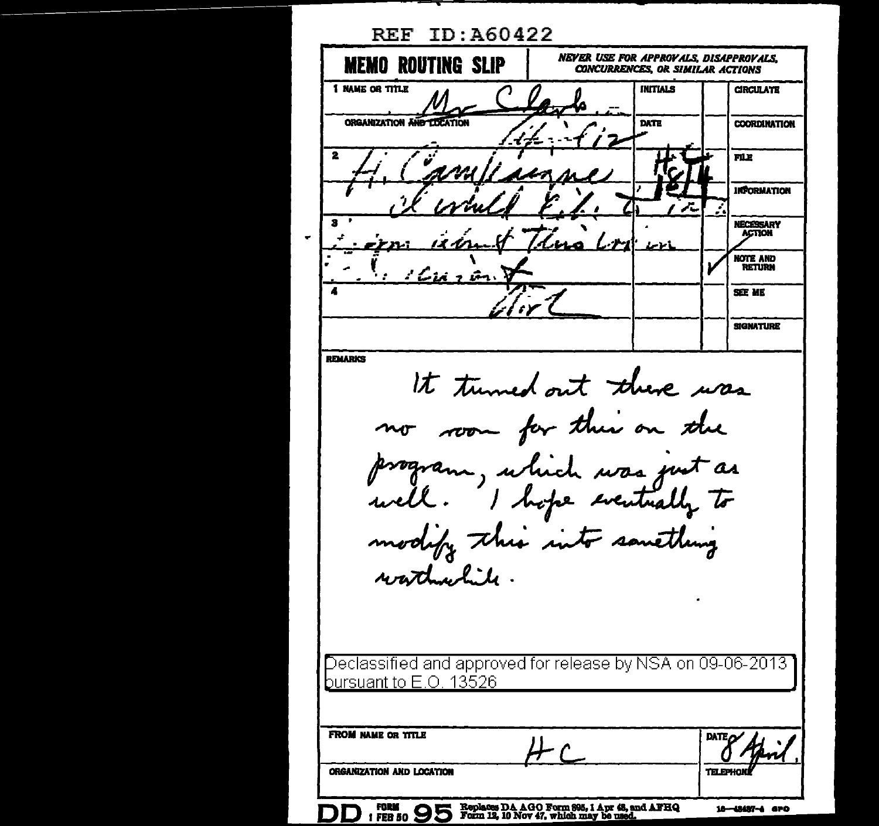**REF ID: A60422 NEVER USE FOR APPROVALS, DISAPPROVALS, MEMO ROUTING SLIP CONCURRENCES. OR SIMILAR ACTIONS 1 NAME OR TITLE INITIALS CIRCULATE ORGANIZATION AND** DATE **COORDINATION FILE INFORMATION** NECESSARY **ACTION NOTE AND RETURN** SEE ME **SIGNATURE REMARKS** It turned out there was no room for their on the program, which was just as well. I hope eventually to modify this into samething watched to. Declassified and approved for release by NSA on 09-06-2013 bursuant to E.O. 13526 FROM NAME OR TITLE ORGANIZATION AND LOCATION DD : FEB 50 95 Replaces DA AGO Form 995, 1 Apr 48, and AFHQ 18-48487-4 аго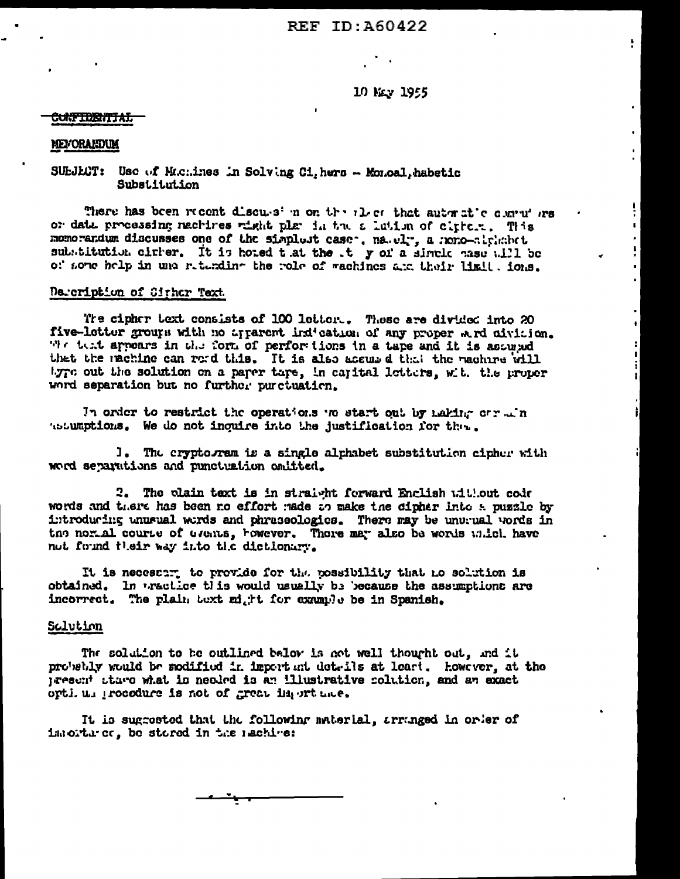# REF ID: A60422

10 Nev 1955

ţ.

 $\mathbf{r}$ 

 $\mathbf{r}$ 

 $\mathbf{E}$ 

٦ i.

 $\bullet$ 

š.  $\pmb{\ast}$ 

ĩ

 $\mathbf{t}$ 

#### <del>CUNFIDENTIAI.</del>

### MEVORANDUM

## SUEJECT: Use of Michines in Solving Ci, hers - Monoal, habetic Substitution

There has been recent discuss in on the alect that automatic contruites or date processing nachines wight plan in the a lation of citicit. This momorandum discusses one of the simplest case. na.el., a mono-alphabet substitution cirrer. It is hoted that the t y of a sincle hase will be of some help in una reterding the role of wachines are their limit. ions.

## Decoription of Cither Text.

The cipher text consists of 100 letter.. These are divided into 20 five-letter groups with no apparent indication of any proper wird civiaion. We test appears in the form of performions in a tape and it is assumed that the machine can read this. It is also accumed that the machine will byre out the solution on a parer tare, in capital letters, with the proper word separation but no further purctuation.

In order to restrict the operations we start out by making our win tesumptions. We do not inquire into the justification for the.

I. The cryptogram is a single alphabet substitution cipher with word separations and punctuation omitted.

2. The plain text is in straight forward Enclish without code words and there has been no effort made to make the cipher into a puzzle by introducing unusual words and phraseologics. There may be unusual words in the norial course of Grents, however. There may also be words which have not found their way into the dictionary.

It is necessary to provide for the possibility that no solution is obtained. In tractice this would usually be because the assumptions are incorrect. The plain text might for example be in Spanish.

### Solution

The solution to be outlined below is not well thought out, and it probebly would be modified in important details at least. however, at the present stare what is needed is an illustrative colution, and an exact orti. un procedure is not of great importance.

It is sugrested that the following material, arranged in order of importance, be stored in the nachive: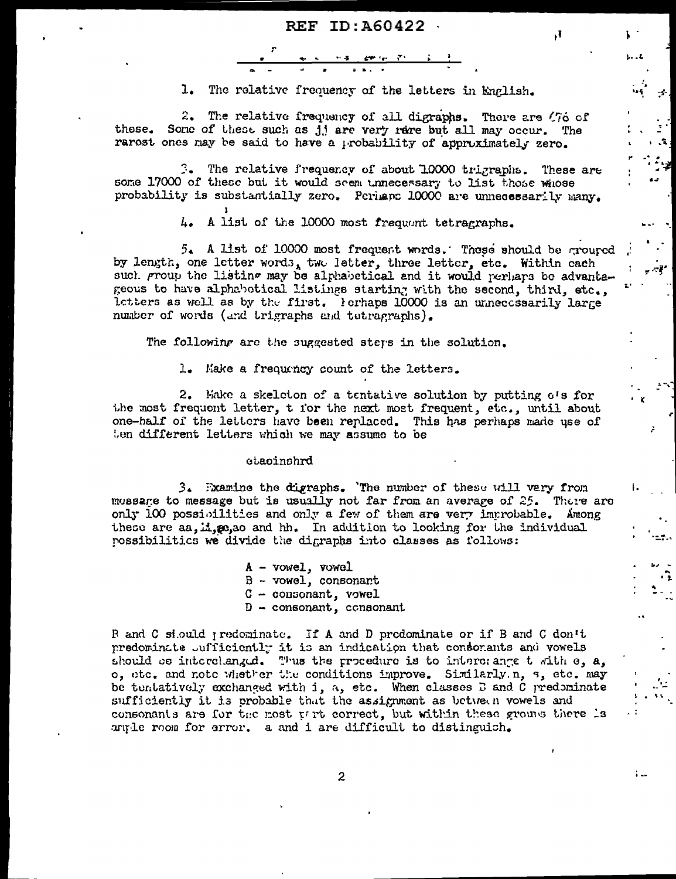$\mathbf{F}_{4}$ 

 $1.11$ 

 $\mathcal{L}$ 

مهدي

 $\mathbf{1}_{\bullet}$ The relative frequency of the letters in English.

2. The relative frequency of all digraphs. There are (76 of these. Some of these such as jj are very rare but all may occur. The rarost ones may be said to have a probability of approximately zero.

3. The relative frequency of about 1,0000 trigraphs. These are some 17000 of these but it would seem unnecessary to list those whose probability is substantially zero. Perhaps 10000 are unnecessarily many.

> 4. A list of the 10000 most frequent tetragraphs.

5. A list of 10000 most frequent words. These should be grouped by length, one letter words, two letter, three letter, etc. Within each such proup the listing may be alphabetical and it would perhaps be advantageous to have alphabetical listings starting with the second, third, etc., letters as well as by the first. Forhaps 10000 is an unnecessarily large number of words (and trigraphs and tetragraphs).

The following are the suggested steps in the solution.

1. Make a frequency count of the letters.

2. Make a skeleton of a tentative solution by putting  $e^t s$  for the most frequent letter, t for the next most frequent, etc., until about one-half of the letters have been replaced. This has perhaps made use of ten different letters which we may assume to be

### etacinshrd

3. Examine the digraphs. The number of these will very from mossage to message but is usually not far from an average of 25. There are only 100 possibilities and only a few of them are very improbable. Among these are aa.ii.se.ao and hh. In addition to looking for the individual possibilitics we divide the digraphs into classes as follows:

> A - vowel, vowel  $B - vowel$ , consonant  $C - constant$ , vowel  $D -$  consonant, consonant

R and C siould predominate. If A and D predominate or if B and C don't predominate sufficiently it is an indication that consorants and vowels should be interchanged. Thus the procedure is to interchange t with e, a, o, etc. and note whether the conditions improve. Similarly n, s, etc. may be tentatively exchanged with i, a, etc. When classes D and C predominate sufficiently it is probable that the assignment as between vowels and consonants are for the most part correct, but within these groups there is anyle room for error. a and i are difficult to distinguish.

 $\boldsymbol{z}$ 

١.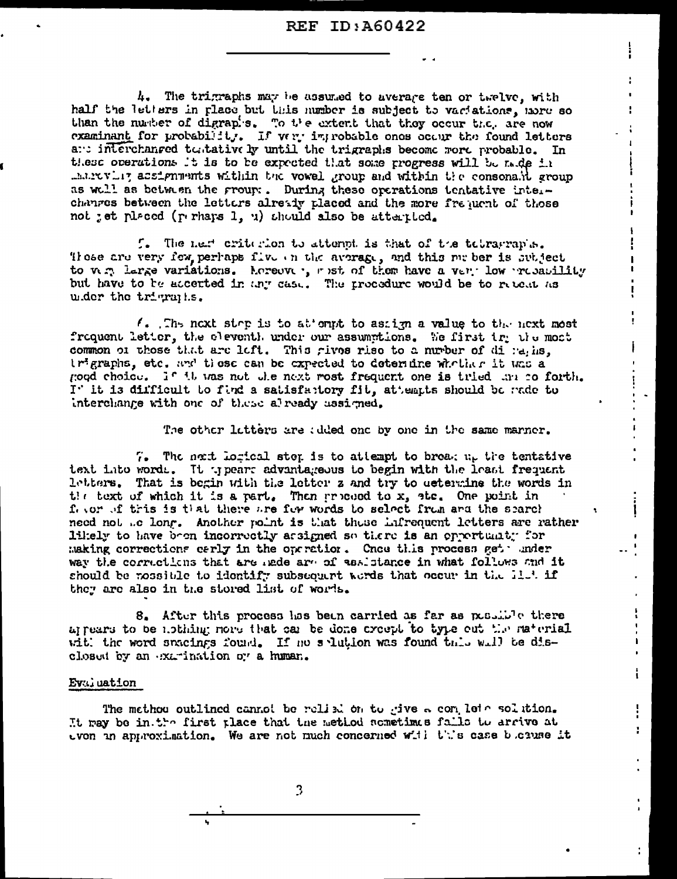## **REF ID: A60422**

 $\mathbf{I}$ 

r

i.

4. The trigraphs may be assumed to average ten or twelve, with half the letters in place but this number is subject to variations, more so than the number of digraphs. To the extent that they occur then are now examinant for probability. If were improbable ones occur the found letters and interchanged turtatively until the trigraphs become more probable. In these operations it is to be expected that some progress will be made in marrowly acsignments within the vowel group and within the consonalit group as well as between the group:. During these operations tentative interchanges between the letters already placed and the more frequent of those not jet placed (perhaps 1, u) should also be atterpted.

f. The next criterion to attent is that of the tebrarran's. Those are very few perhaps five on the average, and this me ber is subject to very large variations. Acreever, must of them have a very low recentility but have to be accerted in any case. The procedure would be to reteat as u.der the trigraphs.

 $\ell$ . The next step is to at empt to assign a value to the next most frequent letter, the eleventh under our assumptions. We first try the most common of those that are left. This rives rise to a nurber of di ratins. trigraphs, etc. and these can be expected to determine whother it was a good choice. If it was not the next rost frequent one is tried the co forth. I' it is difficult to find a satisfattory fit, attempts should be rade to interchange with one of these already ussigned.

The other letters are added one by one in the same marner.

 $7.5$  The next lorical step is to attempt to breaking the tentative text into words. It typears advantageous to begin with the least frequent letters. That is begin with the letter z and try to determine the words in the text of which it is a part. Then proceed to  $x$ , ste. One point in fevor of tris is that there are for words to select from and the spareh need not the long. Another point is that these infrequent letters are rather likely to have been incorrectly assigned so there is an opportunity for making corrections carly in the operation. Cnos this process get under way the corrections that are nede are of assistance in what follows and it should be mossible to identify subsequent words that occur in the il.4 if they are also in the stored list of words.

8. After this process has been carried as far as possible there appears to be ability; nore that can be done creept to type out the material with the word spacings found. If no splution was found this will be disclosed by an examination or a human.

### Evaluation

The methou outlined cannot be relied on to give a complete solution. It may be in the first place that the method sometimus falls to arrive at even in approximation. We are not much concerned with this case because it

3